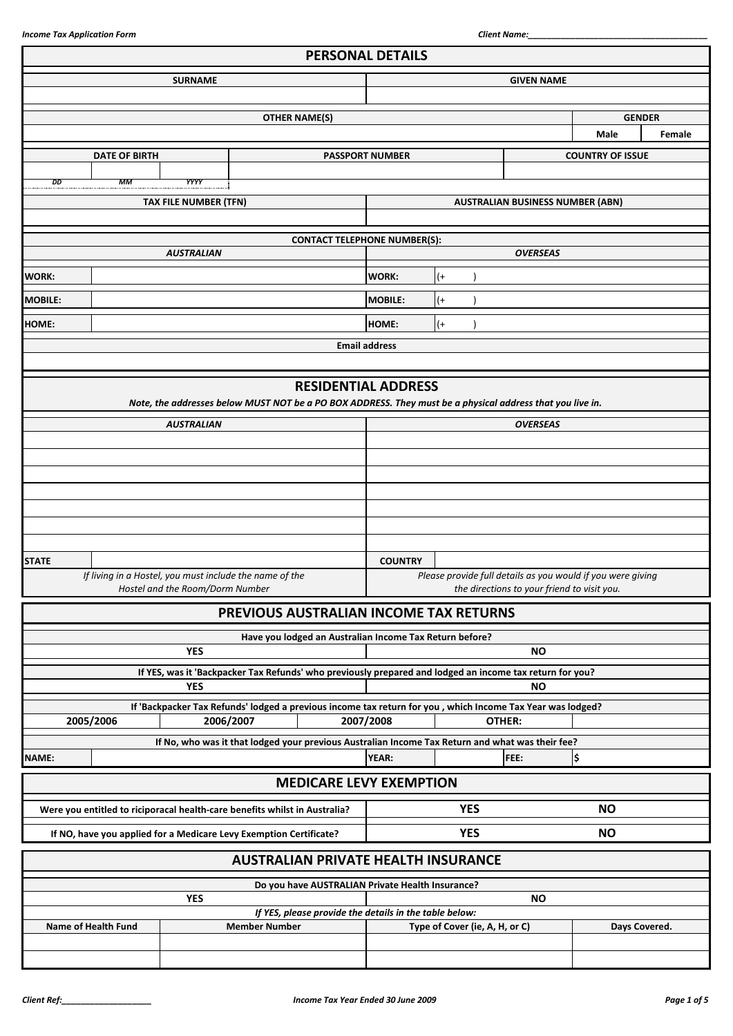|                |                      |                                 |                                                                                                                         | <b>PERSONAL DETAILS</b>                                                                                  |                                |                                             |                         |        |
|----------------|----------------------|---------------------------------|-------------------------------------------------------------------------------------------------------------------------|----------------------------------------------------------------------------------------------------------|--------------------------------|---------------------------------------------|-------------------------|--------|
|                |                      | <b>SURNAME</b>                  |                                                                                                                         | <b>GIVEN NAME</b>                                                                                        |                                |                                             |                         |        |
|                |                      |                                 |                                                                                                                         |                                                                                                          |                                |                                             |                         |        |
|                |                      |                                 | <b>OTHER NAME(S)</b>                                                                                                    |                                                                                                          |                                |                                             | <b>GENDER</b>           |        |
|                |                      |                                 |                                                                                                                         |                                                                                                          |                                |                                             | Male                    | Female |
|                | <b>DATE OF BIRTH</b> |                                 |                                                                                                                         | <b>PASSPORT NUMBER</b>                                                                                   |                                |                                             | <b>COUNTRY OF ISSUE</b> |        |
| DD             | MМ                   | <b>YYYY</b>                     |                                                                                                                         |                                                                                                          |                                |                                             |                         |        |
|                |                      | TAX FILE NUMBER (TFN)           |                                                                                                                         |                                                                                                          |                                | <b>AUSTRALIAN BUSINESS NUMBER (ABN)</b>     |                         |        |
|                |                      |                                 |                                                                                                                         |                                                                                                          |                                |                                             |                         |        |
|                |                      |                                 | <b>CONTACT TELEPHONE NUMBER(S):</b>                                                                                     |                                                                                                          |                                |                                             |                         |        |
|                |                      | <b>AUSTRALIAN</b>               |                                                                                                                         |                                                                                                          |                                | <b>OVERSEAS</b>                             |                         |        |
| <b>WORK:</b>   |                      |                                 |                                                                                                                         | <b>WORK:</b>                                                                                             | $(+)$                          |                                             |                         |        |
| <b>MOBILE:</b> |                      |                                 |                                                                                                                         | <b>MOBILE:</b>                                                                                           | $(+)$                          |                                             |                         |        |
| HOME:          |                      |                                 |                                                                                                                         | HOME:                                                                                                    | $(+)$                          |                                             |                         |        |
|                |                      |                                 |                                                                                                                         | <b>Email address</b>                                                                                     |                                |                                             |                         |        |
|                |                      |                                 |                                                                                                                         |                                                                                                          |                                |                                             |                         |        |
|                |                      |                                 | <b>RESIDENTIAL ADDRESS</b>                                                                                              |                                                                                                          |                                |                                             |                         |        |
|                |                      |                                 | Note, the addresses below MUST NOT be a PO BOX ADDRESS. They must be a physical address that you live in.               |                                                                                                          |                                |                                             |                         |        |
|                |                      | <b>AUSTRALIAN</b>               |                                                                                                                         |                                                                                                          |                                | <b>OVERSEAS</b>                             |                         |        |
|                |                      |                                 |                                                                                                                         |                                                                                                          |                                |                                             |                         |        |
|                |                      |                                 |                                                                                                                         |                                                                                                          |                                |                                             |                         |        |
|                |                      |                                 |                                                                                                                         |                                                                                                          |                                |                                             |                         |        |
|                |                      |                                 |                                                                                                                         |                                                                                                          |                                |                                             |                         |        |
|                |                      |                                 |                                                                                                                         |                                                                                                          |                                |                                             |                         |        |
|                |                      |                                 |                                                                                                                         |                                                                                                          |                                |                                             |                         |        |
| <b>STATE</b>   |                      |                                 |                                                                                                                         | <b>COUNTRY</b>                                                                                           |                                |                                             |                         |        |
|                |                      |                                 | If living in a Hostel, you must include the name of the                                                                 | Please provide full details as you would if you were giving                                              |                                |                                             |                         |        |
|                |                      | Hostel and the Room/Dorm Number |                                                                                                                         |                                                                                                          |                                | the directions to your friend to visit you. |                         |        |
|                |                      |                                 | PREVIOUS AUSTRALIAN INCOME TAX RETURNS                                                                                  |                                                                                                          |                                |                                             |                         |        |
|                |                      |                                 | Have you lodged an Australian Income Tax Return before?                                                                 |                                                                                                          |                                |                                             |                         |        |
|                |                      | <b>YES</b>                      |                                                                                                                         | <b>NO</b>                                                                                                |                                |                                             |                         |        |
|                |                      |                                 |                                                                                                                         | If YES, was it 'Backpacker Tax Refunds' who previously prepared and lodged an income tax return for you? |                                |                                             |                         |        |
|                |                      | <b>YES</b>                      |                                                                                                                         |                                                                                                          |                                | <b>NO</b>                                   |                         |        |
|                | 2005/2006            |                                 | If 'Backpacker Tax Refunds' lodged a previous income tax return for you, which Income Tax Year was lodged?<br>2006/2007 | 2007/2008                                                                                                |                                | OTHER:                                      |                         |        |
|                |                      |                                 | If No, who was it that lodged your previous Australian Income Tax Return and what was their fee?                        |                                                                                                          |                                |                                             |                         |        |
| <b>NAME:</b>   |                      |                                 |                                                                                                                         | <b>YEAR:</b>                                                                                             |                                | FEE:                                        | ¦\$                     |        |
|                |                      |                                 | <b>MEDICARE LEVY EXEMPTION</b>                                                                                          |                                                                                                          |                                |                                             |                         |        |
|                |                      |                                 |                                                                                                                         |                                                                                                          |                                |                                             |                         |        |
|                |                      |                                 | Were you entitled to riciporacal health-care benefits whilst in Australia?                                              | <b>YES</b>                                                                                               |                                |                                             | <b>NO</b>               |        |
|                |                      |                                 | If NO, have you applied for a Medicare Levy Exemption Certificate?                                                      |                                                                                                          | <b>YES</b>                     |                                             | <b>NO</b>               |        |
|                |                      |                                 | <b>AUSTRALIAN PRIVATE HEALTH INSURANCE</b>                                                                              |                                                                                                          |                                |                                             |                         |        |
|                |                      |                                 | Do you have AUSTRALIAN Private Health Insurance?                                                                        |                                                                                                          |                                |                                             |                         |        |
|                |                      | <b>YES</b>                      |                                                                                                                         |                                                                                                          |                                | <b>NO</b>                                   |                         |        |
|                | Name of Health Fund  |                                 | If YES, please provide the details in the table below:<br><b>Member Number</b>                                          |                                                                                                          | Type of Cover (ie, A, H, or C) |                                             | Days Covered.           |        |
|                |                      |                                 |                                                                                                                         |                                                                                                          |                                |                                             |                         |        |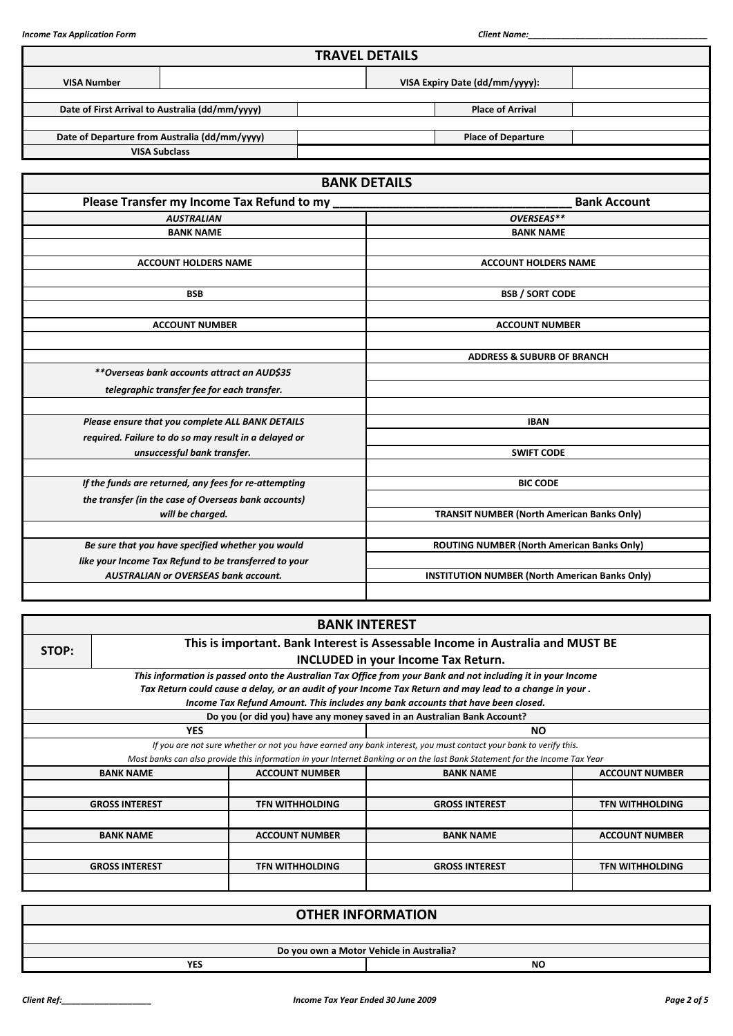|                    |                                                       | <b>TRAVEL DETAILS</b>                                 |                                                   |                     |  |  |
|--------------------|-------------------------------------------------------|-------------------------------------------------------|---------------------------------------------------|---------------------|--|--|
| <b>VISA Number</b> |                                                       |                                                       | VISA Expiry Date (dd/mm/yyyy):                    |                     |  |  |
|                    | Date of First Arrival to Australia (dd/mm/yyyy)       |                                                       | <b>Place of Arrival</b>                           |                     |  |  |
|                    | Date of Departure from Australia (dd/mm/yyyy)         |                                                       | <b>Place of Departure</b>                         |                     |  |  |
|                    | <b>VISA Subclass</b>                                  |                                                       |                                                   |                     |  |  |
|                    |                                                       | <b>BANK DETAILS</b>                                   |                                                   |                     |  |  |
|                    | Please Transfer my Income Tax Refund to my            |                                                       |                                                   | <b>Bank Account</b> |  |  |
|                    | <b>AUSTRALIAN</b>                                     |                                                       | OVERSEAS**                                        |                     |  |  |
|                    | <b>BANK NAME</b>                                      |                                                       | <b>BANK NAME</b>                                  |                     |  |  |
|                    |                                                       |                                                       |                                                   |                     |  |  |
|                    | <b>ACCOUNT HOLDERS NAME</b>                           |                                                       | <b>ACCOUNT HOLDERS NAME</b>                       |                     |  |  |
|                    |                                                       |                                                       |                                                   |                     |  |  |
|                    | <b>BSB</b>                                            |                                                       | <b>BSB / SORT CODE</b>                            |                     |  |  |
|                    |                                                       |                                                       |                                                   |                     |  |  |
|                    | <b>ACCOUNT NUMBER</b>                                 | <b>ACCOUNT NUMBER</b>                                 |                                                   |                     |  |  |
|                    |                                                       |                                                       |                                                   |                     |  |  |
|                    |                                                       |                                                       | <b>ADDRESS &amp; SUBURB OF BRANCH</b>             |                     |  |  |
|                    | **Overseas bank accounts attract an AUD\$35           |                                                       |                                                   |                     |  |  |
|                    | telegraphic transfer fee for each transfer.           |                                                       |                                                   |                     |  |  |
|                    | Please ensure that you complete ALL BANK DETAILS      |                                                       | <b>IBAN</b>                                       |                     |  |  |
|                    | required. Failure to do so may result in a delayed or |                                                       |                                                   |                     |  |  |
|                    | unsuccessful bank transfer.                           | <b>SWIFT CODE</b>                                     |                                                   |                     |  |  |
|                    |                                                       |                                                       |                                                   |                     |  |  |
|                    | If the funds are returned, any fees for re-attempting |                                                       | <b>BIC CODE</b>                                   |                     |  |  |
|                    | the transfer (in the case of Overseas bank accounts)  |                                                       |                                                   |                     |  |  |
|                    | will be charged.                                      |                                                       | <b>TRANSIT NUMBER (North American Banks Only)</b> |                     |  |  |
|                    |                                                       |                                                       |                                                   |                     |  |  |
|                    | Be sure that you have specified whether you would     |                                                       | ROUTING NUMBER (North American Banks Only)        |                     |  |  |
|                    | like your Income Tax Refund to be transferred to your |                                                       |                                                   |                     |  |  |
|                    | <b>AUSTRALIAN or OVERSEAS bank account.</b>           | <b>INSTITUTION NUMBER (North American Banks Only)</b> |                                                   |                     |  |  |
|                    |                                                       |                                                       |                                                   |                     |  |  |

|       |                                                                                        |                        | <b>BANK INTEREST</b>                                                                                                        |                        |  |  |  |  |  |
|-------|----------------------------------------------------------------------------------------|------------------------|-----------------------------------------------------------------------------------------------------------------------------|------------------------|--|--|--|--|--|
| STOP: | This is important. Bank Interest is Assessable Income in Australia and MUST BE         |                        |                                                                                                                             |                        |  |  |  |  |  |
|       |                                                                                        |                        | <b>INCLUDED in your Income Tax Return.</b>                                                                                  |                        |  |  |  |  |  |
|       |                                                                                        |                        | This information is passed onto the Australian Tax Office from your Bank and not including it in your Income                |                        |  |  |  |  |  |
|       |                                                                                        |                        | Tax Return could cause a delay, or an audit of your Income Tax Return and may lead to a change in your .                    |                        |  |  |  |  |  |
|       |                                                                                        |                        | Income Tax Refund Amount. This includes any bank accounts that have been closed.                                            |                        |  |  |  |  |  |
|       |                                                                                        |                        | Do you (or did you) have any money saved in an Australian Bank Account?                                                     |                        |  |  |  |  |  |
|       | <b>YES</b>                                                                             |                        | <b>NO</b>                                                                                                                   |                        |  |  |  |  |  |
|       |                                                                                        |                        | If you are not sure whether or not you have earned any bank interest, you must contact your bank to verify this.            |                        |  |  |  |  |  |
|       |                                                                                        |                        | Most banks can also provide this information in your Internet Banking or on the last Bank Statement for the Income Tax Year |                        |  |  |  |  |  |
|       | <b>BANK NAME</b>                                                                       | <b>ACCOUNT NUMBER</b>  | <b>BANK NAME</b>                                                                                                            | <b>ACCOUNT NUMBER</b>  |  |  |  |  |  |
|       |                                                                                        |                        |                                                                                                                             |                        |  |  |  |  |  |
|       | <b>GROSS INTEREST</b>                                                                  | <b>TFN WITHHOLDING</b> | <b>GROSS INTEREST</b>                                                                                                       | <b>TFN WITHHOLDING</b> |  |  |  |  |  |
|       |                                                                                        |                        |                                                                                                                             |                        |  |  |  |  |  |
|       | <b>ACCOUNT NUMBER</b><br><b>ACCOUNT NUMBER</b><br><b>BANK NAME</b><br><b>BANK NAME</b> |                        |                                                                                                                             |                        |  |  |  |  |  |
|       |                                                                                        |                        |                                                                                                                             |                        |  |  |  |  |  |
|       | <b>GROSS INTEREST</b>                                                                  | <b>TFN WITHHOLDING</b> | <b>GROSS INTEREST</b>                                                                                                       | <b>TFN WITHHOLDING</b> |  |  |  |  |  |
|       |                                                                                        |                        |                                                                                                                             |                        |  |  |  |  |  |

|     | <b>OTHER INFORMATION</b>                 |
|-----|------------------------------------------|
|     |                                          |
|     | Do you own a Motor Vehicle in Australia? |
| YES | NO                                       |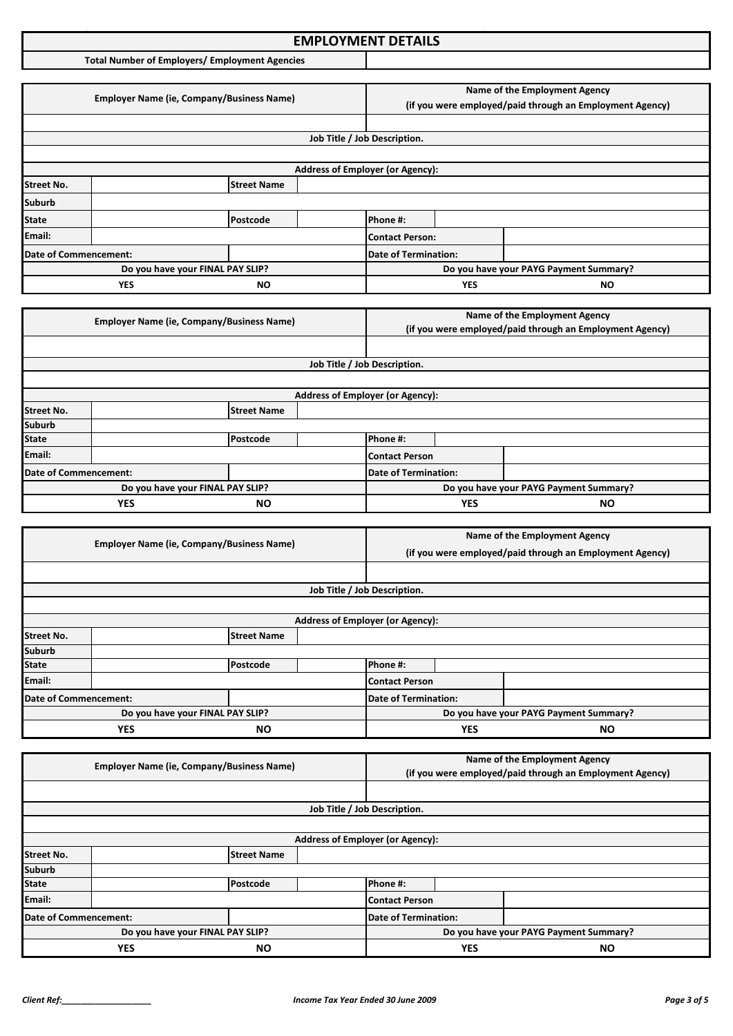### **Income Tax Application Format: EMPLOYMENT DETAILS**

**Total Number of Employers/ Employment Agencies**

|                       | <b>Employer Name (ie, Company/Business Name)</b> |                                                                                                                  |            | Name of the Employment Agency<br>(if you were employed/paid through an Employment Agency) |  |                                        |
|-----------------------|--------------------------------------------------|------------------------------------------------------------------------------------------------------------------|------------|-------------------------------------------------------------------------------------------|--|----------------------------------------|
|                       |                                                  |                                                                                                                  |            |                                                                                           |  |                                        |
|                       |                                                  |                                                                                                                  |            | Job Title / Job Description.                                                              |  |                                        |
|                       |                                                  |                                                                                                                  |            |                                                                                           |  |                                        |
|                       |                                                  |                                                                                                                  |            | <b>Address of Employer (or Agency):</b>                                                   |  |                                        |
| <b>Street No.</b>     |                                                  | <b>Street Name</b>                                                                                               |            |                                                                                           |  |                                        |
| <b>Suburb</b>         |                                                  |                                                                                                                  |            |                                                                                           |  |                                        |
| <b>State</b>          |                                                  | Postcode                                                                                                         |            | Phone #:                                                                                  |  |                                        |
| Email:                |                                                  |                                                                                                                  |            | <b>Contact Person:</b>                                                                    |  |                                        |
| Date of Commencement: |                                                  |                                                                                                                  |            | <b>Date of Termination:</b>                                                               |  |                                        |
|                       |                                                  | Do you have your FINAL PAY SLIP?                                                                                 |            |                                                                                           |  | Do you have your PAYG Payment Summary? |
| <b>YES</b><br>ΝO      |                                                  |                                                                                                                  | <b>YES</b> | ΝO                                                                                        |  |                                        |
|                       |                                                  |                                                                                                                  |            |                                                                                           |  |                                        |
|                       |                                                  | $F_{\text{model}}$ . The Mean of $F_{\text{model}}$ is the contract of $F_{\text{model}}$ and $F_{\text{model}}$ |            |                                                                                           |  | Name of the Employment Agency          |

|                         | <b>Employer Name (ie, Company/Business Name)</b> |          |  |                                         |           | (if you were employed/paid through an Employment Agency) |
|-------------------------|--------------------------------------------------|----------|--|-----------------------------------------|-----------|----------------------------------------------------------|
|                         |                                                  |          |  |                                         |           |                                                          |
|                         |                                                  |          |  | Job Title / Job Description.            |           |                                                          |
|                         |                                                  |          |  |                                         |           |                                                          |
|                         |                                                  |          |  | <b>Address of Employer (or Agency):</b> |           |                                                          |
| <b>Street No.</b>       | <b>Street Name</b>                               |          |  |                                         |           |                                                          |
| <b>Suburb</b>           |                                                  |          |  |                                         |           |                                                          |
| <b>State</b>            |                                                  | Postcode |  | Phone #:                                |           |                                                          |
| Email:                  |                                                  |          |  | Contact Person                          |           |                                                          |
| Date of Commencement:   |                                                  |          |  | Date of Termination:                    |           |                                                          |
|                         | Do you have your FINAL PAY SLIP?                 |          |  |                                         |           | Do you have your PAYG Payment Summary?                   |
| <b>YES</b><br><b>NO</b> |                                                  |          |  | <b>YES</b>                              | <b>NO</b> |                                                          |

|                       | <b>Employer Name (ie, Company/Business Name)</b> |                    |                             | Name of the Employment Agency                            |           |                                        |
|-----------------------|--------------------------------------------------|--------------------|-----------------------------|----------------------------------------------------------|-----------|----------------------------------------|
|                       |                                                  |                    |                             | (if you were employed/paid through an Employment Agency) |           |                                        |
|                       |                                                  |                    |                             |                                                          |           |                                        |
|                       |                                                  |                    |                             | Job Title / Job Description.                             |           |                                        |
|                       |                                                  |                    |                             |                                                          |           |                                        |
|                       |                                                  |                    |                             | <b>Address of Employer (or Agency):</b>                  |           |                                        |
| <b>Street No.</b>     |                                                  | <b>Street Name</b> |                             |                                                          |           |                                        |
| <b>Suburb</b>         |                                                  |                    |                             |                                                          |           |                                        |
| <b>State</b>          |                                                  | Postcode           |                             | Phone #:                                                 |           |                                        |
| Email:                |                                                  |                    |                             | <b>Contact Person</b>                                    |           |                                        |
| Date of Commencement: |                                                  |                    | <b>Date of Termination:</b> |                                                          |           |                                        |
|                       | Do you have your FINAL PAY SLIP?                 |                    |                             |                                                          |           | Do you have your PAYG Payment Summary? |
| YES<br><b>NO</b>      |                                                  |                    |                             | <b>YES</b>                                               | <b>NO</b> |                                        |

|                                  | <b>Employer Name (ie, Company/Business Name)</b> |                             |                                         | Name of the Employment Agency                            |  |  |
|----------------------------------|--------------------------------------------------|-----------------------------|-----------------------------------------|----------------------------------------------------------|--|--|
|                                  |                                                  |                             |                                         | (if you were employed/paid through an Employment Agency) |  |  |
|                                  |                                                  |                             |                                         |                                                          |  |  |
|                                  |                                                  |                             | Job Title / Job Description.            |                                                          |  |  |
|                                  |                                                  |                             |                                         |                                                          |  |  |
|                                  |                                                  |                             | <b>Address of Employer (or Agency):</b> |                                                          |  |  |
| <b>Street No.</b>                |                                                  | <b>Street Name</b>          |                                         |                                                          |  |  |
| <b>Suburb</b>                    |                                                  |                             |                                         |                                                          |  |  |
| <b>State</b>                     |                                                  | Postcode                    |                                         | Phone #:                                                 |  |  |
| Email:                           |                                                  |                             |                                         | Contact Person                                           |  |  |
| Date of Commencement:            |                                                  | <b>Date of Termination:</b> |                                         |                                                          |  |  |
| Do you have your FINAL PAY SLIP? |                                                  |                             |                                         | Do you have your PAYG Payment Summary?                   |  |  |
| <b>YES</b><br><b>NO</b>          |                                                  |                             | <b>YES</b>                              | <b>NO</b>                                                |  |  |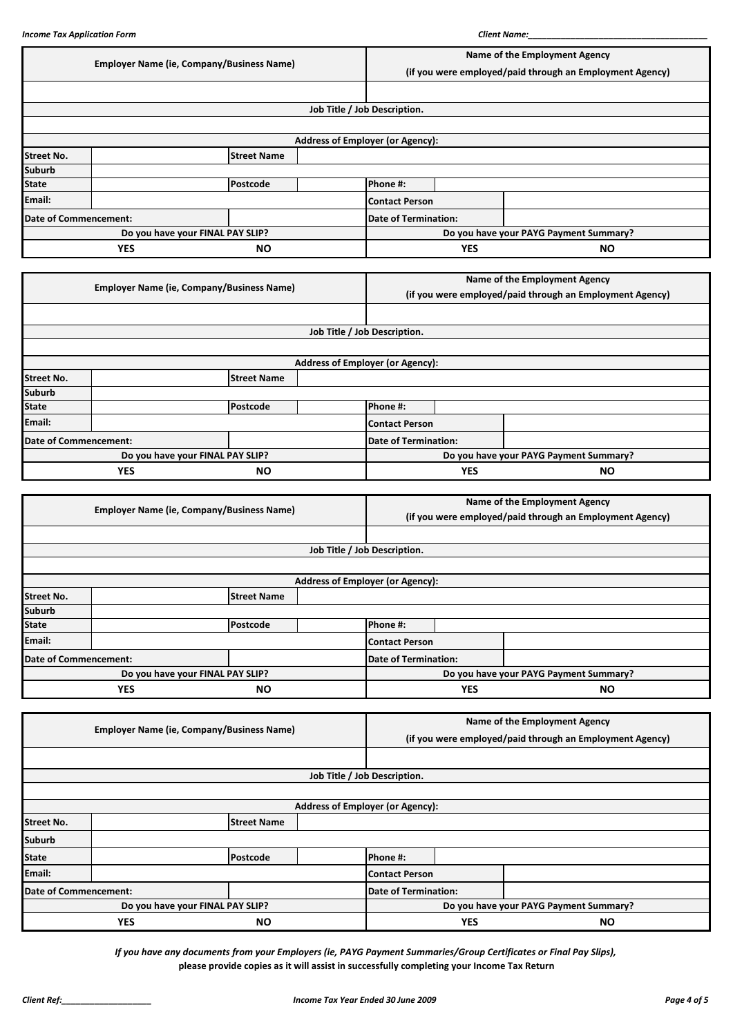|                                  | <b>Employer Name (ie, Company/Business Name)</b> |                                                  |  |                                                          | Name of the Employment Agency |                                        |  |
|----------------------------------|--------------------------------------------------|--------------------------------------------------|--|----------------------------------------------------------|-------------------------------|----------------------------------------|--|
|                                  |                                                  |                                                  |  | (if you were employed/paid through an Employment Agency) |                               |                                        |  |
|                                  |                                                  |                                                  |  |                                                          |                               |                                        |  |
|                                  |                                                  |                                                  |  | Job Title / Job Description.                             |                               |                                        |  |
|                                  |                                                  |                                                  |  |                                                          |                               |                                        |  |
|                                  |                                                  |                                                  |  | <b>Address of Employer (or Agency):</b>                  |                               |                                        |  |
| <b>Street No.</b>                |                                                  | <b>Street Name</b>                               |  |                                                          |                               |                                        |  |
| <b>Suburb</b>                    |                                                  |                                                  |  |                                                          |                               |                                        |  |
| <b>State</b>                     |                                                  | Postcode                                         |  | Phone #:                                                 |                               |                                        |  |
| Email:                           |                                                  |                                                  |  | <b>Contact Person</b>                                    |                               |                                        |  |
| <b>Date of Commencement:</b>     |                                                  |                                                  |  | <b>Date of Termination:</b>                              |                               |                                        |  |
|                                  |                                                  | Do you have your FINAL PAY SLIP?                 |  | Do you have your PAYG Payment Summary?                   |                               |                                        |  |
|                                  | <b>YES</b>                                       | <b>NO</b>                                        |  |                                                          | <b>YES</b>                    | <b>NO</b>                              |  |
|                                  |                                                  |                                                  |  |                                                          |                               |                                        |  |
|                                  |                                                  | <b>Employer Name (ie, Company/Business Name)</b> |  |                                                          |                               | Name of the Employment Agency          |  |
|                                  |                                                  |                                                  |  | (if you were employed/paid through an Employment Agency) |                               |                                        |  |
|                                  |                                                  |                                                  |  |                                                          |                               |                                        |  |
|                                  |                                                  |                                                  |  | Job Title / Job Description.                             |                               |                                        |  |
|                                  |                                                  |                                                  |  |                                                          |                               |                                        |  |
|                                  |                                                  |                                                  |  | <b>Address of Employer (or Agency):</b>                  |                               |                                        |  |
| <b>Street No.</b>                |                                                  | <b>Street Name</b>                               |  |                                                          |                               |                                        |  |
| <b>Suburb</b>                    |                                                  |                                                  |  |                                                          |                               |                                        |  |
| <b>State</b>                     |                                                  | Postcode                                         |  | Phone #:                                                 |                               |                                        |  |
| Email:                           |                                                  |                                                  |  | <b>Contact Person</b>                                    |                               |                                        |  |
| Date of Commencement:            |                                                  |                                                  |  | <b>Date of Termination:</b>                              |                               |                                        |  |
| Do you have your FINAL PAY SLIP? |                                                  |                                                  |  |                                                          |                               | Do you have your PAYG Payment Summary? |  |
|                                  | <b>YES</b><br><b>NO</b>                          |                                                  |  |                                                          |                               |                                        |  |

|                         | <b>Employer Name (ie, Company/Business Name)</b> |                    |                                         | Name of the Employment Agency                            |  |  |
|-------------------------|--------------------------------------------------|--------------------|-----------------------------------------|----------------------------------------------------------|--|--|
|                         |                                                  |                    |                                         | (if you were employed/paid through an Employment Agency) |  |  |
|                         |                                                  |                    |                                         |                                                          |  |  |
|                         |                                                  |                    |                                         | Job Title / Job Description.                             |  |  |
|                         |                                                  |                    |                                         |                                                          |  |  |
|                         |                                                  |                    | <b>Address of Employer (or Agency):</b> |                                                          |  |  |
| <b>Street No.</b>       |                                                  | <b>Street Name</b> |                                         |                                                          |  |  |
| <b>Suburb</b>           |                                                  |                    |                                         |                                                          |  |  |
| <b>State</b>            |                                                  | Postcode           |                                         | Phone #:                                                 |  |  |
| Email:                  |                                                  |                    |                                         | <b>Contact Person</b>                                    |  |  |
|                         | Date of Commencement:                            |                    |                                         | <b>Date of Termination:</b>                              |  |  |
|                         | Do you have your FINAL PAY SLIP?                 |                    | Do you have your PAYG Payment Summary?  |                                                          |  |  |
| <b>YES</b><br><b>NO</b> |                                                  |                    | <b>YES</b>                              | <b>NO</b>                                                |  |  |

|                         | <b>Employer Name (ie, Company/Business Name)</b> |                    |                                         | Name of the Employment Agency          |           |                                                          |
|-------------------------|--------------------------------------------------|--------------------|-----------------------------------------|----------------------------------------|-----------|----------------------------------------------------------|
|                         |                                                  |                    |                                         |                                        |           | (if you were employed/paid through an Employment Agency) |
|                         |                                                  |                    |                                         |                                        |           |                                                          |
|                         |                                                  |                    |                                         | Job Title / Job Description.           |           |                                                          |
|                         |                                                  |                    |                                         |                                        |           |                                                          |
|                         |                                                  |                    | <b>Address of Employer (or Agency):</b> |                                        |           |                                                          |
| <b>Street No.</b>       |                                                  | <b>Street Name</b> |                                         |                                        |           |                                                          |
| <b>Suburb</b>           |                                                  |                    |                                         |                                        |           |                                                          |
| <b>State</b>            |                                                  | Postcode           |                                         | Phone #:                               |           |                                                          |
| Email:                  |                                                  |                    |                                         | <b>Contact Person</b>                  |           |                                                          |
|                         | Date of Commencement:                            |                    | <b>Date of Termination:</b>             |                                        |           |                                                          |
|                         | Do you have your FINAL PAY SLIP?                 |                    |                                         | Do you have your PAYG Payment Summary? |           |                                                          |
| <b>YES</b><br><b>NO</b> |                                                  |                    |                                         | <b>YES</b>                             | <b>NO</b> |                                                          |

*If you have any documents from your Employers (ie, PAYG Payment Summaries/Group Certificates or Final Pay Slips),* **please provide copies as it will assist in successfully completing your Income Tax Return**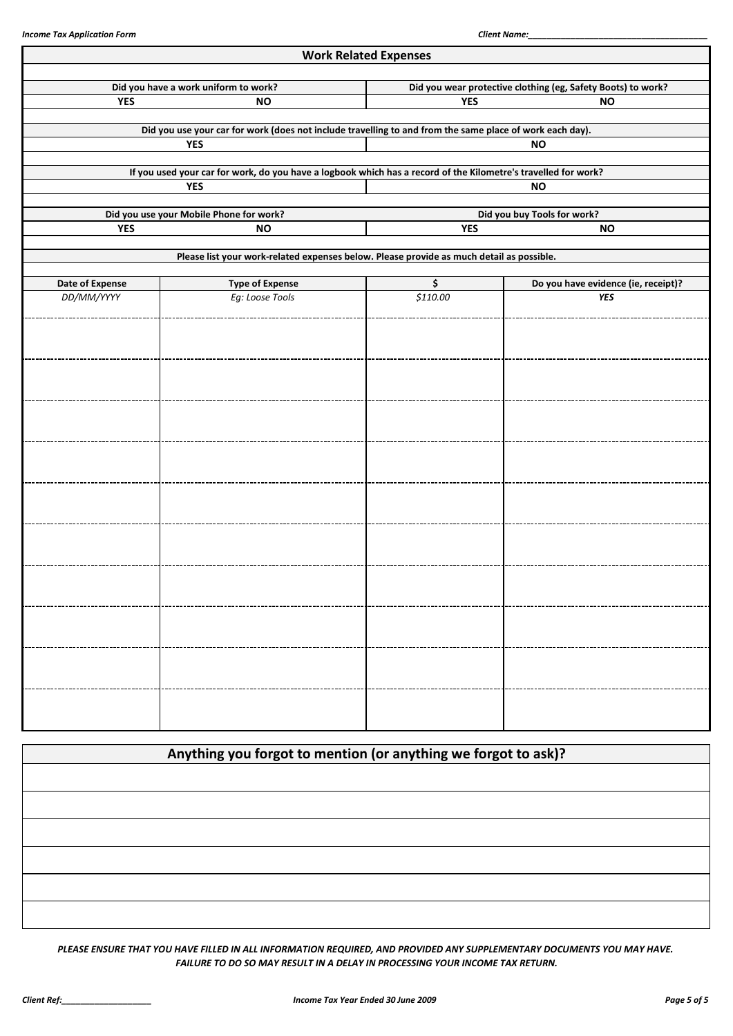|                        |                                                                                                                | <b>Work Related Expenses</b> |                                                              |  |  |  |
|------------------------|----------------------------------------------------------------------------------------------------------------|------------------------------|--------------------------------------------------------------|--|--|--|
|                        | Did you have a work uniform to work?                                                                           |                              | Did you wear protective clothing (eg, Safety Boots) to work? |  |  |  |
| <b>YES</b>             | <b>NO</b>                                                                                                      | <b>YES</b><br><b>NO</b>      |                                                              |  |  |  |
|                        | Did you use your car for work (does not include travelling to and from the same place of work each day).       |                              |                                                              |  |  |  |
|                        | <b>YES</b>                                                                                                     |                              | <b>NO</b>                                                    |  |  |  |
|                        | If you used your car for work, do you have a logbook which has a record of the Kilometre's travelled for work? |                              |                                                              |  |  |  |
|                        | <b>YES</b>                                                                                                     |                              | <b>NO</b>                                                    |  |  |  |
|                        | Did you use your Mobile Phone for work?                                                                        |                              | Did you buy Tools for work?                                  |  |  |  |
| <b>YES</b>             | <b>NO</b>                                                                                                      | <b>YES</b>                   | <b>NO</b>                                                    |  |  |  |
|                        | Please list your work-related expenses below. Please provide as much detail as possible.                       |                              |                                                              |  |  |  |
| <b>Date of Expense</b> | <b>Type of Expense</b>                                                                                         | \$                           | Do you have evidence (ie, receipt)?                          |  |  |  |
| DD/MM/YYYY             | Eg: Loose Tools                                                                                                | \$110.00                     | <b>YES</b>                                                   |  |  |  |
|                        |                                                                                                                |                              |                                                              |  |  |  |
|                        |                                                                                                                |                              |                                                              |  |  |  |
|                        |                                                                                                                |                              |                                                              |  |  |  |
|                        |                                                                                                                |                              |                                                              |  |  |  |
|                        |                                                                                                                |                              |                                                              |  |  |  |
|                        |                                                                                                                |                              |                                                              |  |  |  |
|                        |                                                                                                                |                              |                                                              |  |  |  |
|                        |                                                                                                                |                              |                                                              |  |  |  |
|                        |                                                                                                                |                              |                                                              |  |  |  |
|                        |                                                                                                                |                              |                                                              |  |  |  |
|                        |                                                                                                                |                              |                                                              |  |  |  |
|                        |                                                                                                                |                              |                                                              |  |  |  |
|                        |                                                                                                                |                              |                                                              |  |  |  |
|                        |                                                                                                                |                              |                                                              |  |  |  |
|                        |                                                                                                                |                              |                                                              |  |  |  |
|                        |                                                                                                                |                              |                                                              |  |  |  |
|                        |                                                                                                                |                              |                                                              |  |  |  |
|                        |                                                                                                                |                              |                                                              |  |  |  |
|                        |                                                                                                                |                              |                                                              |  |  |  |
|                        |                                                                                                                |                              |                                                              |  |  |  |

| Anything you forgot to mention (or anything we forgot to ask)? |  |
|----------------------------------------------------------------|--|
|                                                                |  |
|                                                                |  |
|                                                                |  |
|                                                                |  |
|                                                                |  |
|                                                                |  |

*PLEASE ENSURE THAT YOU HAVE FILLED IN ALL INFORMATION REQUIRED, AND PROVIDED ANY SUPPLEMENTARY DOCUMENTS YOU MAY HAVE. FAILURE TO DO SO MAY RESULT IN A DELAY IN PROCESSING YOUR INCOME TAX RETURN.*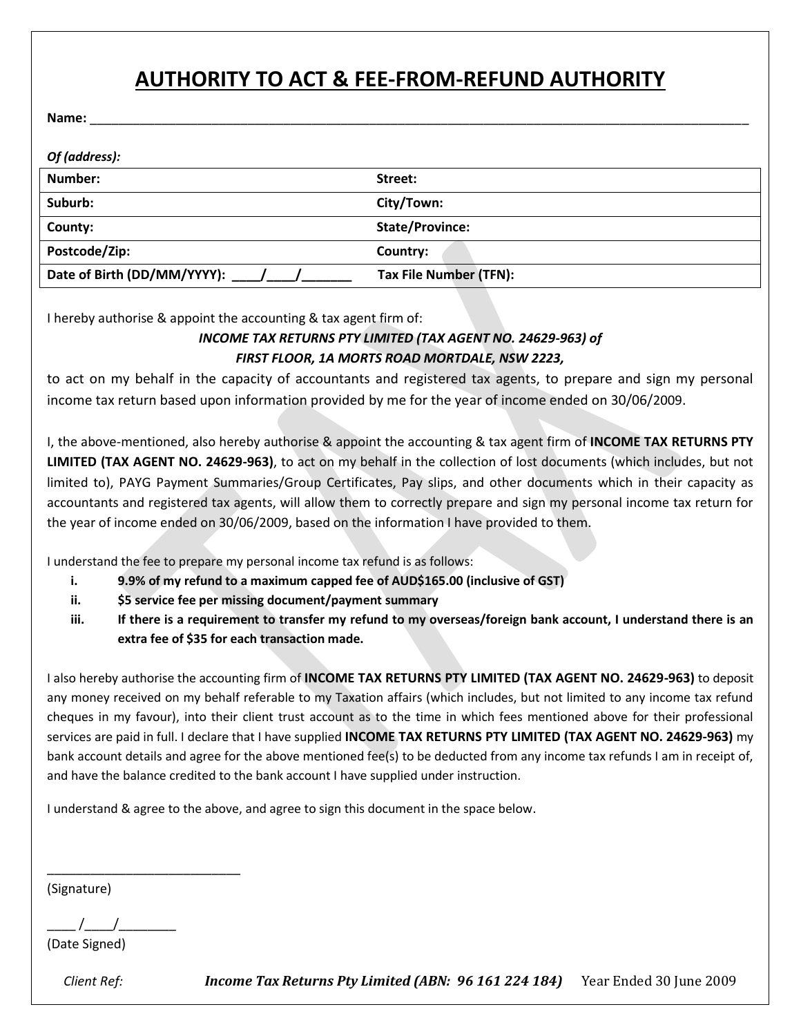# **AUTHORITY TO ACT & FEE-FROM-REFUND AUTHORITY**

**Name:** \_\_\_\_\_\_\_\_\_\_\_\_\_\_\_\_\_\_\_\_\_\_\_\_\_\_\_\_\_\_\_\_\_\_\_\_\_\_\_\_\_\_\_\_\_\_\_\_\_\_\_\_\_\_\_\_\_\_\_\_\_\_\_\_\_\_\_\_\_\_\_\_\_\_\_\_\_\_\_\_\_\_\_\_\_\_\_\_\_\_\_\_

| Of (address):               |                        |
|-----------------------------|------------------------|
| Number:                     | Street:                |
| Suburb:                     | City/Town:             |
| County:                     | <b>State/Province:</b> |
| Postcode/Zip:               | Country:               |
| Date of Birth (DD/MM/YYYY): | Tax File Number (TFN): |

I hereby authorise & appoint the accounting & tax agent firm of:

#### *INCOME TAX RETURNS PTY LIMITED (TAX AGENT NO. 24629-963) of FIRST FLOOR, 1A MORTS ROAD MORTDALE, NSW 2223,*

to act on my behalf in the capacity of accountants and registered tax agents, to prepare and sign my personal income tax return based upon information provided by me for the year of income ended on 30/06/2009.

I, the above-mentioned, also hereby authorise & appoint the accounting & tax agent firm of **INCOME TAX RETURNS PTY LIMITED (TAX AGENT NO. 24629-963)**, to act on my behalf in the collection of lost documents (which includes, but not limited to), PAYG Payment Summaries/Group Certificates, Pay slips, and other documents which in their capacity as accountants and registered tax agents, will allow them to correctly prepare and sign my personal income tax return for the year of income ended on 30/06/2009, based on the information I have provided to them.

I understand the fee to prepare my personal income tax refund is as follows:

- **i. 9.9% of my refund to a maximum capped fee of AUD\$165.00 (inclusive of GST)**
- **ii. \$5 service fee per missing document/payment summary**
- **iii. If there is a requirement to transfer my refund to my overseas/foreign bank account, I understand there is an extra fee of \$35 for each transaction made.**

I also hereby authorise the accounting firm of **INCOME TAX RETURNS PTY LIMITED (TAX AGENT NO. 24629-963)** to deposit any money received on my behalf referable to my Taxation affairs (which includes, but not limited to any income tax refund cheques in my favour), into their client trust account as to the time in which fees mentioned above for their professional services are paid in full. I declare that I have supplied **INCOME TAX RETURNS PTY LIMITED (TAX AGENT NO. 24629-963)** my bank account details and agree for the above mentioned fee(s) to be deducted from any income tax refunds I am in receipt of, and have the balance credited to the bank account I have supplied under instruction.

I understand & agree to the above, and agree to sign this document in the space below.

(Signature)

 $\frac{1}{2}$  /

\_\_\_\_\_\_\_\_\_\_\_\_\_\_\_\_\_\_\_\_\_\_\_\_\_\_\_

(Date Signed)